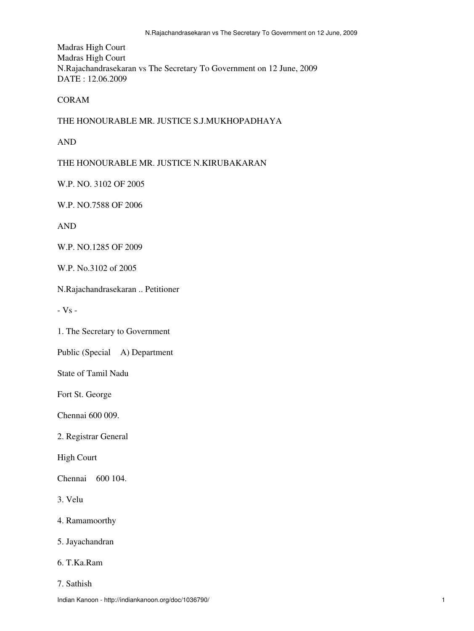Madras High Court Madras High Court N.Rajachandrasekaran vs The Secretary To Government on 12 June, 2009 DATE : 12.06.2009

CORAM

## THE HONOURABLE MR. JUSTICE S.J.MUKHOPADHAYA

AND

# THE HONOURABLE MR. JUSTICE N.KIRUBAKARAN

W.P. NO. 3102 OF 2005

W.P. NO.7588 OF 2006

AND

W.P. NO.1285 OF 2009

W.P. No.3102 of 2005

N.Rajachandrasekaran .. Petitioner

- Vs -

1. The Secretary to Government

Public (Special A) Department

State of Tamil Nadu

Fort St. George

Chennai 600 009.

2. Registrar General

High Court

Chennai 600 104.

3. Velu

4. Ramamoorthy

5. Jayachandran

6. T.Ka.Ram

7. Sathish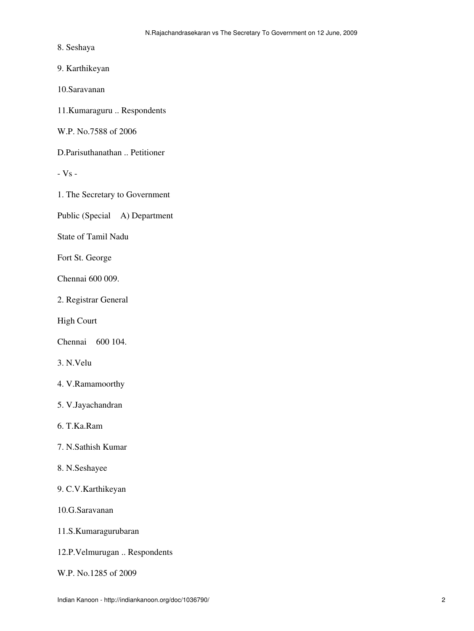- 8. Seshaya
- 9. Karthikeyan
- 10.Saravanan
- 11.Kumaraguru .. Respondents
- W.P. No.7588 of 2006
- D.Parisuthanathan .. Petitioner
- Vs -
- 1. The Secretary to Government
- Public (Special A) Department
- State of Tamil Nadu
- Fort St. George
- Chennai 600 009.
- 2. Registrar General
- High Court
- Chennai 600 104.
- 3. N.Velu
- 4. V.Ramamoorthy
- 5. V.Jayachandran
- 6. T.Ka.Ram
- 7. N.Sathish Kumar
- 8. N.Seshayee
- 9. C.V.Karthikeyan
- 10.G.Saravanan
- 11.S.Kumaragurubaran
- 12.P.Velmurugan .. Respondents
- W.P. No.1285 of 2009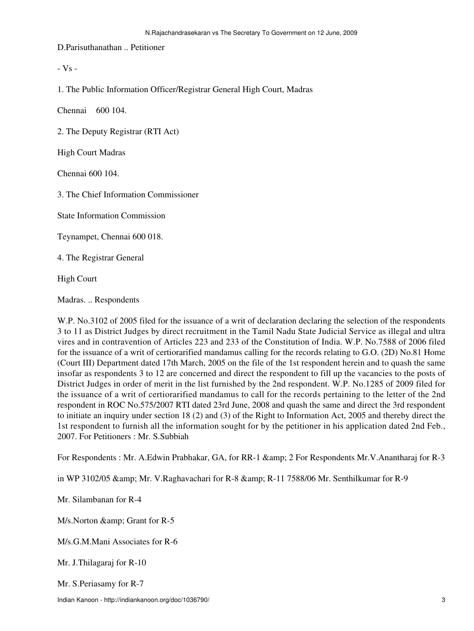D.Parisuthanathan .. Petitioner

- Vs -

1. The Public Information Officer/Registrar General High Court, Madras

Chennai 600 104.

2. The Deputy Registrar (RTI Act)

High Court Madras

Chennai 600 104.

3. The Chief Information Commissioner

State Information Commission

Teynampet, Chennai 600 018.

4. The Registrar General

High Court

Madras. .. Respondents

W.P. No.3102 of 2005 filed for the issuance of a writ of declaration declaring the selection of the respondents 3 to 11 as District Judges by direct recruitment in the Tamil Nadu State Judicial Service as illegal and ultra vires and in contravention of Articles 223 and 233 of the Constitution of India. W.P. No.7588 of 2006 filed for the issuance of a writ of certiorarified mandamus calling for the records relating to G.O. (2D) No.81 Home (Court III) Department dated 17th March, 2005 on the file of the 1st respondent herein and to quash the same insofar as respondents 3 to 12 are concerned and direct the respondent to fill up the vacancies to the posts of District Judges in order of merit in the list furnished by the 2nd respondent. W.P. No.1285 of 2009 filed for the issuance of a writ of certiorarified mandamus to call for the records pertaining to the letter of the 2nd respondent in ROC No.575/2007 RTI dated 23rd June, 2008 and quash the same and direct the 3rd respondent to initiate an inquiry under section 18 (2) and (3) of the Right to Information Act, 2005 and thereby direct the 1st respondent to furnish all the information sought for by the petitioner in his application dated 2nd Feb., 2007. For Petitioners : Mr. S.Subbiah

For Respondents : Mr. A.Edwin Prabhakar, GA, for RR-1 & 2 For Respondents Mr. V. Anantharaj for R-3

in WP 3102/05 & amp; Mr. V.Raghavachari for R-8 & amp; R-11 7588/06 Mr. Senthilkumar for R-9

Mr. Silambanan for R-4

M/s.Norton & amp; Grant for R-5

M/s.G.M.Mani Associates for R-6

Mr. J.Thilagaraj for R-10

Mr. S.Periasamy for R-7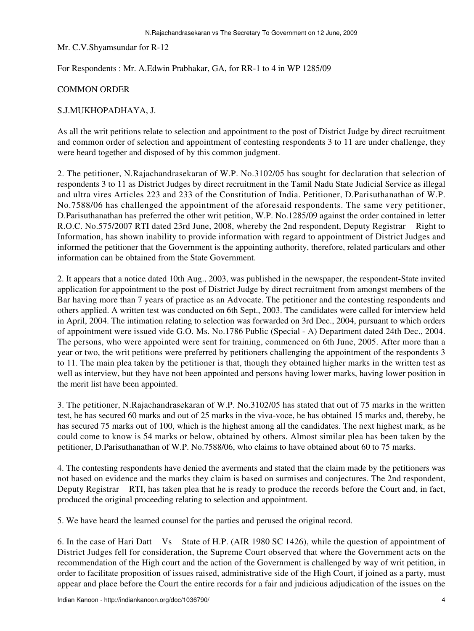Mr. C.V.Shyamsundar for R-12

For Respondents : Mr. A.Edwin Prabhakar, GA, for RR-1 to 4 in WP 1285/09

#### COMMON ORDER

#### S.J.MUKHOPADHAYA, J.

As all the writ petitions relate to selection and appointment to the post of District Judge by direct recruitment and common order of selection and appointment of contesting respondents 3 to 11 are under challenge, they were heard together and disposed of by this common judgment.

2. The petitioner, N.Rajachandrasekaran of W.P. No.3102/05 has sought for declaration that selection of respondents 3 to 11 as District Judges by direct recruitment in the Tamil Nadu State Judicial Service as illegal and ultra vires Articles 223 and 233 of the Constitution of India. Petitioner, D.Parisuthanathan of W.P. No.7588/06 has challenged the appointment of the aforesaid respondents. The same very petitioner, D.Parisuthanathan has preferred the other writ petition, W.P. No.1285/09 against the order contained in letter R.O.C. No.575/2007 RTI dated 23rd June, 2008, whereby the 2nd respondent, Deputy Registrar Right to Information, has shown inability to provide information with regard to appointment of District Judges and informed the petitioner that the Government is the appointing authority, therefore, related particulars and other information can be obtained from the State Government.

2. It appears that a notice dated 10th Aug., 2003, was published in the newspaper, the respondent-State invited application for appointment to the post of District Judge by direct recruitment from amongst members of the Bar having more than 7 years of practice as an Advocate. The petitioner and the contesting respondents and others applied. A written test was conducted on 6th Sept., 2003. The candidates were called for interview held in April, 2004. The intimation relating to selection was forwarded on 3rd Dec., 2004, pursuant to which orders of appointment were issued vide G.O. Ms. No.1786 Public (Special - A) Department dated 24th Dec., 2004. The persons, who were appointed were sent for training, commenced on 6th June, 2005. After more than a year or two, the writ petitions were preferred by petitioners challenging the appointment of the respondents 3 to 11. The main plea taken by the petitioner is that, though they obtained higher marks in the written test as well as interview, but they have not been appointed and persons having lower marks, having lower position in the merit list have been appointed.

3. The petitioner, N.Rajachandrasekaran of W.P. No.3102/05 has stated that out of 75 marks in the written test, he has secured 60 marks and out of 25 marks in the viva-voce, he has obtained 15 marks and, thereby, he has secured 75 marks out of 100, which is the highest among all the candidates. The next highest mark, as he could come to know is 54 marks or below, obtained by others. Almost similar plea has been taken by the petitioner, D.Parisuthanathan of W.P. No.7588/06, who claims to have obtained about 60 to 75 marks.

4. The contesting respondents have denied the averments and stated that the claim made by the petitioners was not based on evidence and the marks they claim is based on surmises and conjectures. The 2nd respondent, Deputy Registrar RTI, has taken plea that he is ready to produce the records before the Court and, in fact, produced the original proceeding relating to selection and appointment.

5. We have heard the learned counsel for the parties and perused the original record.

6. In the case of Hari Datt Vs State of H.P. (AIR 1980 SC 1426), while the question of appointment of District Judges fell for consideration, the Supreme Court observed that where the Government acts on the recommendation of the High court and the action of the Government is challenged by way of writ petition, in order to facilitate proposition of issues raised, administrative side of the High Court, if joined as a party, must appear and place before the Court the entire records for a fair and judicious adjudication of the issues on the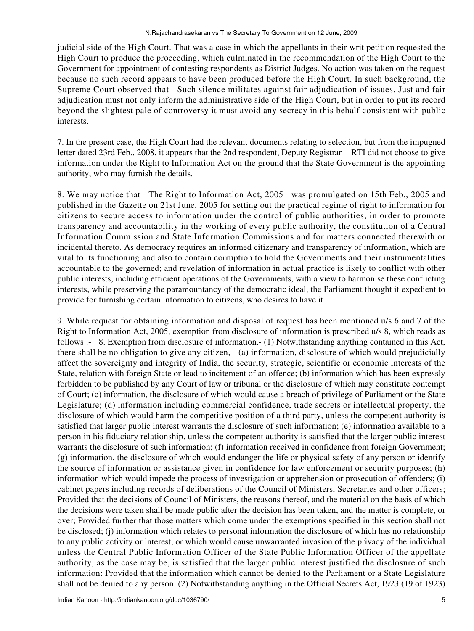judicial side of the High Court. That was a case in which the appellants in their writ petition requested the High Court to produce the proceeding, which culminated in the recommendation of the High Court to the Government for appointment of contesting respondents as District Judges. No action was taken on the request because no such record appears to have been produced before the High Court. In such background, the Supreme Court observed that Such silence militates against fair adjudication of issues. Just and fair adjudication must not only inform the administrative side of the High Court, but in order to put its record beyond the slightest pale of controversy it must avoid any secrecy in this behalf consistent with public interests.

7. In the present case, the High Court had the relevant documents relating to selection, but from the impugned letter dated 23rd Feb., 2008, it appears that the 2nd respondent, Deputy Registrar RTI did not choose to give information under the Right to Information Act on the ground that the State Government is the appointing authority, who may furnish the details.

8. We may notice that The Right to Information Act, 2005 was promulgated on 15th Feb., 2005 and published in the Gazette on 21st June, 2005 for setting out the practical regime of right to information for citizens to secure access to information under the control of public authorities, in order to promote transparency and accountability in the working of every public authority, the constitution of a Central Information Commission and State Information Commissions and for matters connected therewith or incidental thereto. As democracy requires an informed citizenary and transparency of information, which are vital to its functioning and also to contain corruption to hold the Governments and their instrumentalities accountable to the governed; and revelation of information in actual practice is likely to conflict with other public interests, including efficient operations of the Governments, with a view to harmonise these conflicting interests, while preserving the paramountancy of the democratic ideal, the Parliament thought it expedient to provide for furnishing certain information to citizens, who desires to have it.

9. While request for obtaining information and disposal of request has been mentioned u/s 6 and 7 of the Right to Information Act, 2005, exemption from disclosure of information is prescribed u/s 8, which reads as follows :- 8. Exemption from disclosure of information.- (1) Notwithstanding anything contained in this Act, there shall be no obligation to give any citizen, - (a) information, disclosure of which would prejudicially affect the sovereignty and integrity of India, the security, strategic, scientific or economic interests of the State, relation with foreign State or lead to incitement of an offence; (b) information which has been expressly forbidden to be published by any Court of law or tribunal or the disclosure of which may constitute contempt of Court; (c) information, the disclosure of which would cause a breach of privilege of Parliament or the State Legislature; (d) information including commercial confidence, trade secrets or intellectual property, the disclosure of which would harm the competitive position of a third party, unless the competent authority is satisfied that larger public interest warrants the disclosure of such information; (e) information available to a person in his fiduciary relationship, unless the competent authority is satisfied that the larger public interest warrants the disclosure of such information; (f) information received in confidence from foreign Government; (g) information, the disclosure of which would endanger the life or physical safety of any person or identify the source of information or assistance given in confidence for law enforcement or security purposes; (h) information which would impede the process of investigation or apprehension or prosecution of offenders; (i) cabinet papers including records of deliberations of the Council of Ministers, Secretaries and other officers; Provided that the decisions of Council of Ministers, the reasons thereof, and the material on the basis of which the decisions were taken shall be made public after the decision has been taken, and the matter is complete, or over; Provided further that those matters which come under the exemptions specified in this section shall not be disclosed; (j) information which relates to personal information the disclosure of which has no relationship to any public activity or interest, or which would cause unwarranted invasion of the privacy of the individual unless the Central Public Information Officer of the State Public Information Officer of the appellate authority, as the case may be, is satisfied that the larger public interest justified the disclosure of such information: Provided that the information which cannot be denied to the Parliament or a State Legislature shall not be denied to any person. (2) Notwithstanding anything in the Official Secrets Act, 1923 (19 of 1923)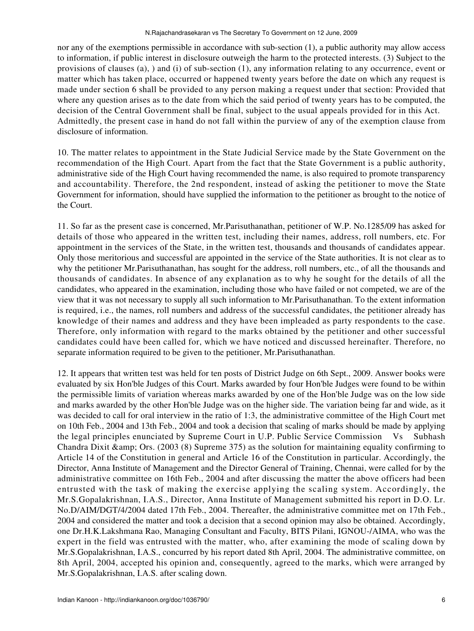nor any of the exemptions permissible in accordance with sub-section (1), a public authority may allow access to information, if public interest in disclosure outweigh the harm to the protected interests. (3) Subject to the provisions of clauses (a), ) and (i) of sub-section (1), any information relating to any occurrence, event or matter which has taken place, occurred or happened twenty years before the date on which any request is made under section 6 shall be provided to any person making a request under that section: Provided that where any question arises as to the date from which the said period of twenty years has to be computed, the decision of the Central Government shall be final, subject to the usual appeals provided for in this Act. Admittedly, the present case in hand do not fall within the purview of any of the exemption clause from disclosure of information.

10. The matter relates to appointment in the State Judicial Service made by the State Government on the recommendation of the High Court. Apart from the fact that the State Government is a public authority, administrative side of the High Court having recommended the name, is also required to promote transparency and accountability. Therefore, the 2nd respondent, instead of asking the petitioner to move the State Government for information, should have supplied the information to the petitioner as brought to the notice of the Court.

11. So far as the present case is concerned, Mr.Parisuthanathan, petitioner of W.P. No.1285/09 has asked for details of those who appeared in the written test, including their names, address, roll numbers, etc. For appointment in the services of the State, in the written test, thousands and thousands of candidates appear. Only those meritorious and successful are appointed in the service of the State authorities. It is not clear as to why the petitioner Mr.Parisuthanathan, has sought for the address, roll numbers, etc., of all the thousands and thousands of candidates. In absence of any explanation as to why he sought for the details of all the candidates, who appeared in the examination, including those who have failed or not competed, we are of the view that it was not necessary to supply all such information to Mr.Parisuthanathan. To the extent information is required, i.e., the names, roll numbers and address of the successful candidates, the petitioner already has knowledge of their names and address and they have been impleaded as party respondents to the case. Therefore, only information with regard to the marks obtained by the petitioner and other successful candidates could have been called for, which we have noticed and discussed hereinafter. Therefore, no separate information required to be given to the petitioner, Mr.Parisuthanathan.

12. It appears that written test was held for ten posts of District Judge on 6th Sept., 2009. Answer books were evaluated by six Hon'ble Judges of this Court. Marks awarded by four Hon'ble Judges were found to be within the permissible limits of variation whereas marks awarded by one of the Hon'ble Judge was on the low side and marks awarded by the other Hon'ble Judge was on the higher side. The variation being far and wide, as it was decided to call for oral interview in the ratio of 1:3, the administrative committee of the High Court met on 10th Feb., 2004 and 13th Feb., 2004 and took a decision that scaling of marks should be made by applying the legal principles enunciated by Supreme Court in U.P. Public Service Commission Vs Subhash Chandra Dixit & amp; Ors.  $(2003 (8)$  Supreme 375) as the solution for maintaining equality confirming to Article 14 of the Constitution in general and Article 16 of the Constitution in particular. Accordingly, the Director, Anna Institute of Management and the Director General of Training, Chennai, were called for by the administrative committee on 16th Feb., 2004 and after discussing the matter the above officers had been entrusted with the task of making the exercise applying the scaling system. Accordingly, the Mr.S.Gopalakrishnan, I.A.S., Director, Anna Institute of Management submitted his report in D.O. Lr. No.D/AIM/DGT/4/2004 dated 17th Feb., 2004. Thereafter, the administrative committee met on 17th Feb., 2004 and considered the matter and took a decision that a second opinion may also be obtained. Accordingly, one Dr.H.K.Lakshmana Rao, Managing Consultant and Faculty, BITS Pilani, IGNOU-/AIMA, who was the expert in the field was entrusted with the matter, who, after examining the mode of scaling down by Mr.S.Gopalakrishnan, I.A.S., concurred by his report dated 8th April, 2004. The administrative committee, on 8th April, 2004, accepted his opinion and, consequently, agreed to the marks, which were arranged by Mr.S.Gopalakrishnan, I.A.S. after scaling down.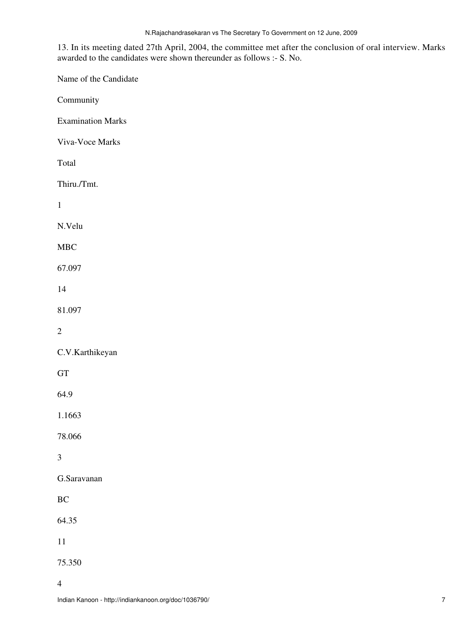13. In its meeting dated 27th April, 2004, the committee met after the conclusion of oral interview. Marks awarded to the candidates were shown thereunder as follows :- S. No.

Name of the Candidate

Community

Examination Marks

Viva-Voce Marks

Total

Thiru./Tmt.

1 N.Velu MBC 67.097 14 81.097 2 C.V.Karthikeyan

GT

64.9

1.1663

78.066

3

G.Saravanan

BC

64.35

11

75.350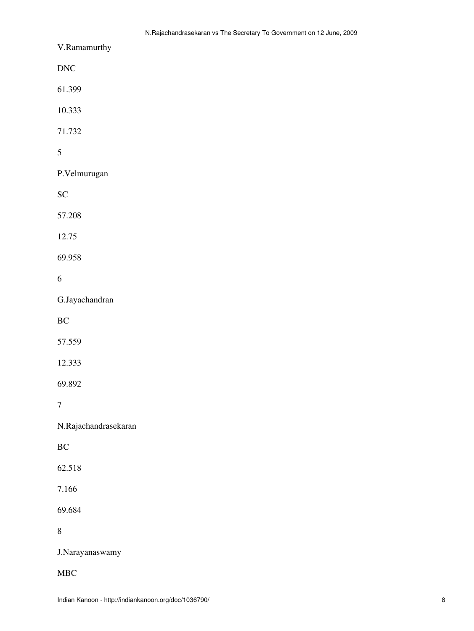## V.Ramamurthy

| ۰. | ., |
|----|----|
|    | ۰. |
|    |    |

61.399

10.333

71.732

# 5

P.Velmurugan

SC

57.208

12.75

69.958

6

G.Jayachandran

BC

57.559

12.333

69.892

7

N.Rajachandrasekaran

BC

62.518

7.166

69.684

8

J.Narayanaswamy

MBC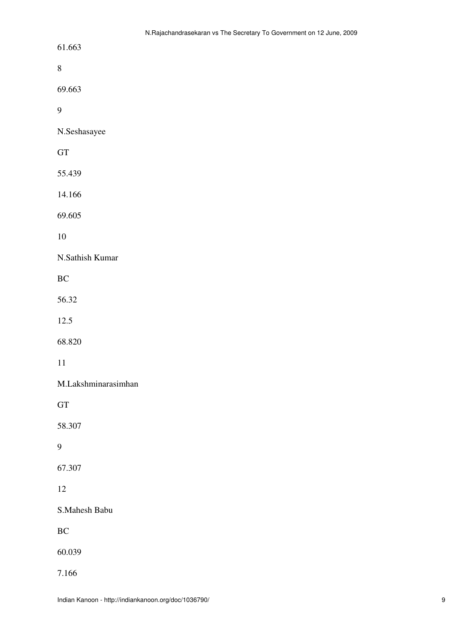61.663

| ×<br>M. | I<br>۰,<br>۰,<br>۰, |  |  |
|---------|---------------------|--|--|
|         |                     |  |  |

69.663

9

N.Seshasayee

GT

55.439

14.166

69.605

10

N.Sathish Kumar

BC

56.32

12.5

68.820

11

M.Lakshminarasimhan

**GT** 

58.307

9

67.307

12

S.Mahesh Babu

BC

60.039

7.166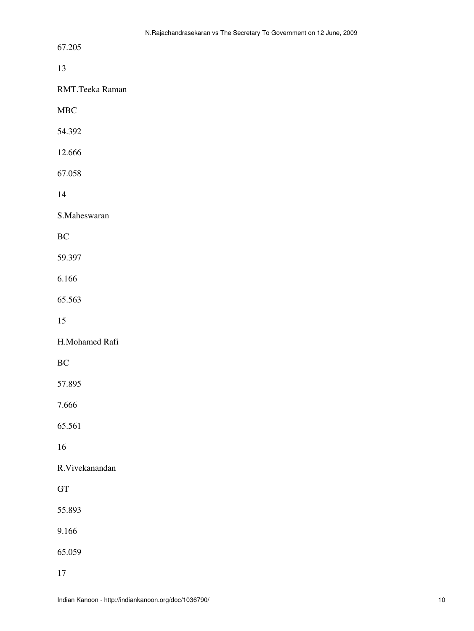67.205

13

RMT.Teeka Raman

MBC

54.392

12.666

67.058

14

S.Maheswaran

BC

59.397

6.166

65.563

15

H.Mohamed Rafi

BC

57.895

7.666

65.561

16

R.Vivekanandan

GT

55.893

9.166

65.059

17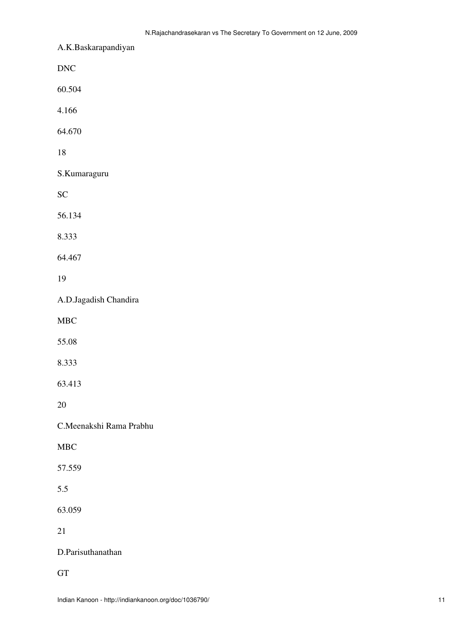# A.K.Baskarapandiyan

| <b>DNC</b>              |
|-------------------------|
| 60.504                  |
| 4.166                   |
| 64.670                  |
| 18                      |
| S.Kumaraguru            |
| SC                      |
| 56.134                  |
| 8.333                   |
| 64.467                  |
| 19                      |
| A.D.Jagadish Chandira   |
| <b>MBC</b>              |
| 55.08                   |
| 8.333                   |
| 63.413                  |
| 20                      |
| C.Meenakshi Rama Prabhu |
| <b>MBC</b>              |
| 57.559                  |
| 5.5                     |
| 63.059                  |
| 21                      |
| D.Parisuthanathan       |

**GT**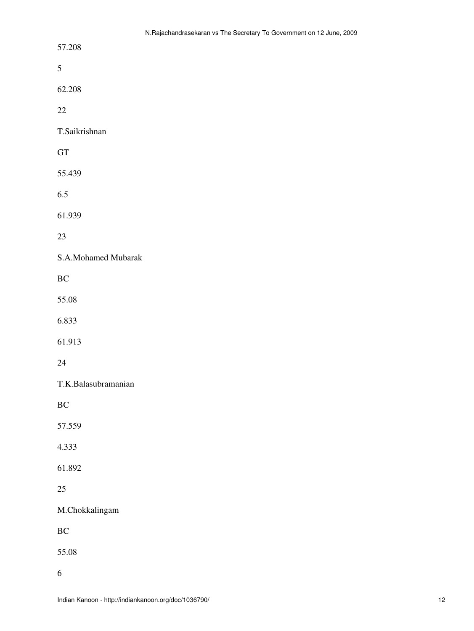5

62.208

22

T.Saikrishnan

GT

55.439

6.5

61.939

23

S.A.Mohamed Mubarak

BC

55.08

6.833

61.913

24

T.K.Balasubramanian

BC

57.559

4.333

61.892

25

M.Chokkalingam

BC

55.08

6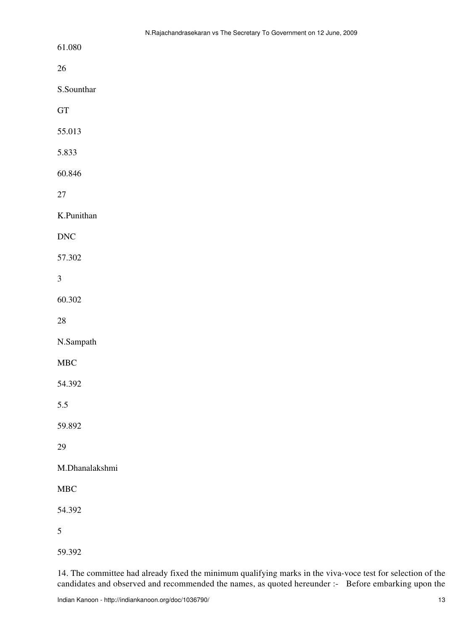61.080

26

S.Sounthar

**GT** 

55.013

5.833

60.846

27

K.Punithan

DNC

57.302

3

60.302

28

N.Sampath

MBC

54.392

5.5

59.892

29

M.Dhanalakshmi

MBC

54.392

5

59.392

14. The committee had already fixed the minimum qualifying marks in the viva-voce test for selection of the candidates and observed and recommended the names, as quoted hereunder :- Before embarking upon the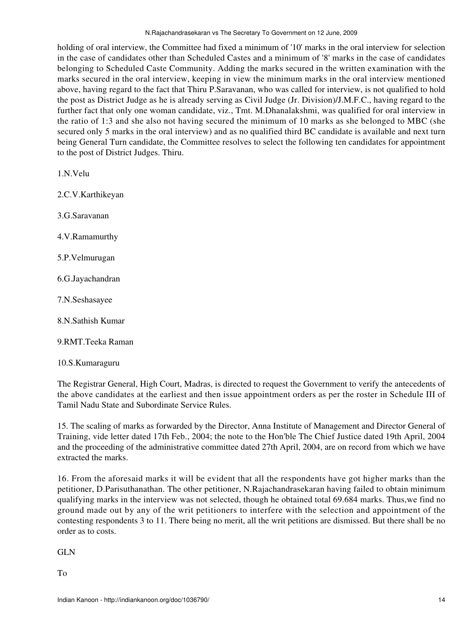holding of oral interview, the Committee had fixed a minimum of '10' marks in the oral interview for selection in the case of candidates other than Scheduled Castes and a minimum of '8' marks in the case of candidates belonging to Scheduled Caste Community. Adding the marks secured in the written examination with the marks secured in the oral interview, keeping in view the minimum marks in the oral interview mentioned above, having regard to the fact that Thiru P.Saravanan, who was called for interview, is not qualified to hold the post as District Judge as he is already serving as Civil Judge (Jr. Division)/J.M.F.C., having regard to the further fact that only one woman candidate, viz., Tmt. M.Dhanalakshmi, was qualified for oral interview in the ratio of 1:3 and she also not having secured the minimum of 10 marks as she belonged to MBC (she secured only 5 marks in the oral interview) and as no qualified third BC candidate is available and next turn being General Turn candidate, the Committee resolves to select the following ten candidates for appointment to the post of District Judges. Thiru.

| 1.N.Velu |  |
|----------|--|
|          |  |

2.C.V.Karthikeyan

3.G.Saravanan

4.V.Ramamurthy

5.P.Velmurugan

6.G.Jayachandran

7.N.Seshasayee

8.N.Sathish Kumar

9.RMT.Teeka Raman

10.S.Kumaraguru

The Registrar General, High Court, Madras, is directed to request the Government to verify the antecedents of the above candidates at the earliest and then issue appointment orders as per the roster in Schedule III of Tamil Nadu State and Subordinate Service Rules.

15. The scaling of marks as forwarded by the Director, Anna Institute of Management and Director General of Training, vide letter dated 17th Feb., 2004; the note to the Hon'ble The Chief Justice dated 19th April, 2004 and the proceeding of the administrative committee dated 27th April, 2004, are on record from which we have extracted the marks.

16. From the aforesaid marks it will be evident that all the respondents have got higher marks than the petitioner, D.Parisuthanathan. The other petitioner, N.Rajachandrasekaran having failed to obtain minimum qualifying marks in the interview was not selected, though he obtained total 69.684 marks. Thus,we find no ground made out by any of the writ petitioners to interfere with the selection and appointment of the contesting respondents 3 to 11. There being no merit, all the writ petitions are dismissed. But there shall be no order as to costs.

GLN

To